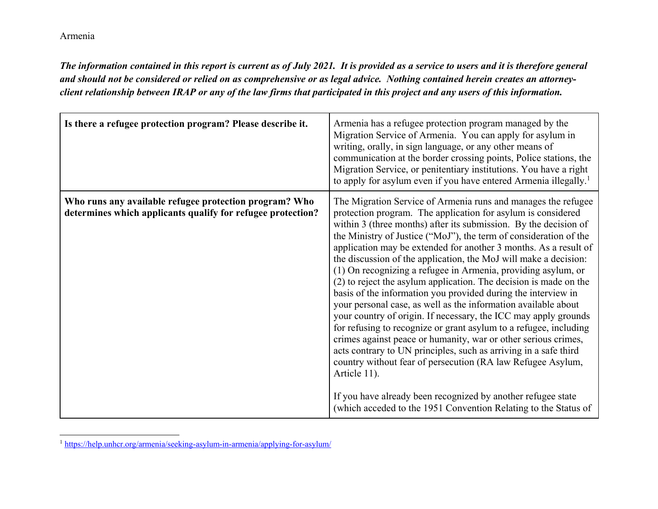*The information contained in this report is current as of July 2021. It is provided as a service to users and it is therefore general and should not be considered or relied on as comprehensive or as legal advice. Nothing contained herein creates an attorneyclient relationship between IRAP or any of the law firms that participated in this project and any users of this information.* 

| Is there a refugee protection program? Please describe it.                                                            | Armenia has a refugee protection program managed by the<br>Migration Service of Armenia. You can apply for asylum in<br>writing, orally, in sign language, or any other means of<br>communication at the border crossing points, Police stations, the<br>Migration Service, or penitentiary institutions. You have a right<br>to apply for asylum even if you have entered Armenia illegally. <sup>1</sup>                                                                                                                                                                                                                                                                                                                                                                                                                                                                                                                                                                                                                                                                                                                                                                              |
|-----------------------------------------------------------------------------------------------------------------------|-----------------------------------------------------------------------------------------------------------------------------------------------------------------------------------------------------------------------------------------------------------------------------------------------------------------------------------------------------------------------------------------------------------------------------------------------------------------------------------------------------------------------------------------------------------------------------------------------------------------------------------------------------------------------------------------------------------------------------------------------------------------------------------------------------------------------------------------------------------------------------------------------------------------------------------------------------------------------------------------------------------------------------------------------------------------------------------------------------------------------------------------------------------------------------------------|
| Who runs any available refugee protection program? Who<br>determines which applicants qualify for refugee protection? | The Migration Service of Armenia runs and manages the refugee<br>protection program. The application for asylum is considered<br>within 3 (three months) after its submission. By the decision of<br>the Ministry of Justice ("MoJ"), the term of consideration of the<br>application may be extended for another 3 months. As a result of<br>the discussion of the application, the MoJ will make a decision:<br>(1) On recognizing a refugee in Armenia, providing asylum, or<br>(2) to reject the asylum application. The decision is made on the<br>basis of the information you provided during the interview in<br>your personal case, as well as the information available about<br>your country of origin. If necessary, the ICC may apply grounds<br>for refusing to recognize or grant asylum to a refugee, including<br>crimes against peace or humanity, war or other serious crimes,<br>acts contrary to UN principles, such as arriving in a safe third<br>country without fear of persecution (RA law Refugee Asylum,<br>Article 11).<br>If you have already been recognized by another refugee state<br>(which acceded to the 1951 Convention Relating to the Status of |

<sup>&</sup>lt;sup>1</sup> https://help.unhcr.org/armenia/seeking-asylum-in-armenia/applying-for-asylum/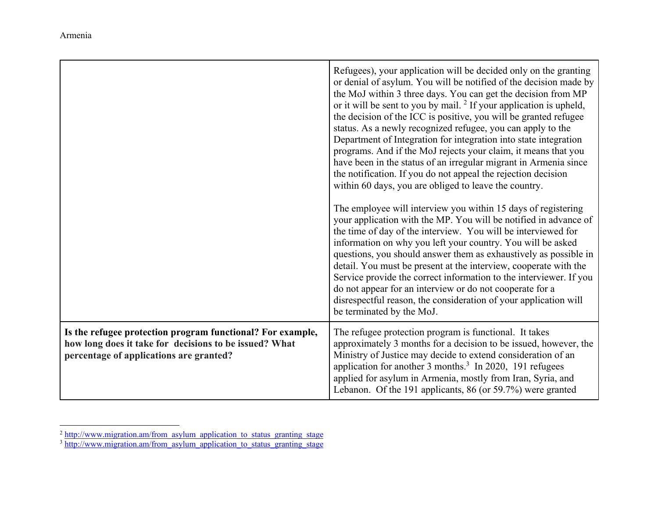|                                                                                                                                                                 | Refugees), your application will be decided only on the granting<br>or denial of asylum. You will be notified of the decision made by<br>the MoJ within 3 three days. You can get the decision from MP<br>or it will be sent to you by mail. $2$ If your application is upheld,<br>the decision of the ICC is positive, you will be granted refugee<br>status. As a newly recognized refugee, you can apply to the<br>Department of Integration for integration into state integration<br>programs. And if the MoJ rejects your claim, it means that you<br>have been in the status of an irregular migrant in Armenia since<br>the notification. If you do not appeal the rejection decision<br>within 60 days, you are obliged to leave the country.<br>The employee will interview you within 15 days of registering<br>your application with the MP. You will be notified in advance of<br>the time of day of the interview. You will be interviewed for<br>information on why you left your country. You will be asked<br>questions, you should answer them as exhaustively as possible in<br>detail. You must be present at the interview, cooperate with the<br>Service provide the correct information to the interviewer. If you<br>do not appear for an interview or do not cooperate for a<br>disrespectful reason, the consideration of your application will<br>be terminated by the MoJ. |
|-----------------------------------------------------------------------------------------------------------------------------------------------------------------|--------------------------------------------------------------------------------------------------------------------------------------------------------------------------------------------------------------------------------------------------------------------------------------------------------------------------------------------------------------------------------------------------------------------------------------------------------------------------------------------------------------------------------------------------------------------------------------------------------------------------------------------------------------------------------------------------------------------------------------------------------------------------------------------------------------------------------------------------------------------------------------------------------------------------------------------------------------------------------------------------------------------------------------------------------------------------------------------------------------------------------------------------------------------------------------------------------------------------------------------------------------------------------------------------------------------------------------------------------------------------------------------------------|
| Is the refugee protection program functional? For example,<br>how long does it take for decisions to be issued? What<br>percentage of applications are granted? | The refugee protection program is functional. It takes<br>approximately 3 months for a decision to be issued, however, the<br>Ministry of Justice may decide to extend consideration of an<br>application for another 3 months. <sup>3</sup> In 2020, 191 refugees<br>applied for asylum in Armenia, mostly from Iran, Syria, and<br>Lebanon. Of the 191 applicants, 86 (or 59.7%) were granted                                                                                                                                                                                                                                                                                                                                                                                                                                                                                                                                                                                                                                                                                                                                                                                                                                                                                                                                                                                                        |

 $^2$  http://www.migration.am/from\_asylum\_application\_to\_status\_granting\_stage  $^3$  http://www.migration.am/from\_asylum\_application\_to\_status\_granting\_stage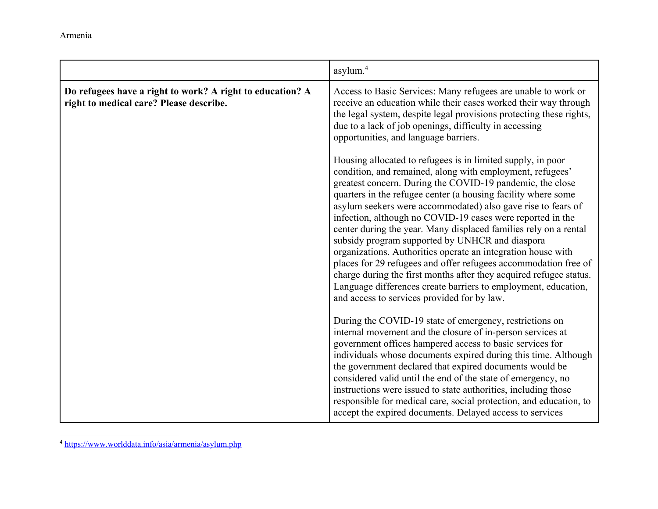|                                                                                                      | asylum. <sup>4</sup>                                                                                                                                                                                                                                                                                                                                                                                                                                                                                                                                                                                                                                                                                                                                                                                                                  |
|------------------------------------------------------------------------------------------------------|---------------------------------------------------------------------------------------------------------------------------------------------------------------------------------------------------------------------------------------------------------------------------------------------------------------------------------------------------------------------------------------------------------------------------------------------------------------------------------------------------------------------------------------------------------------------------------------------------------------------------------------------------------------------------------------------------------------------------------------------------------------------------------------------------------------------------------------|
| Do refugees have a right to work? A right to education? A<br>right to medical care? Please describe. | Access to Basic Services: Many refugees are unable to work or<br>receive an education while their cases worked their way through<br>the legal system, despite legal provisions protecting these rights,<br>due to a lack of job openings, difficulty in accessing<br>opportunities, and language barriers.                                                                                                                                                                                                                                                                                                                                                                                                                                                                                                                            |
|                                                                                                      | Housing allocated to refugees is in limited supply, in poor<br>condition, and remained, along with employment, refugees'<br>greatest concern. During the COVID-19 pandemic, the close<br>quarters in the refugee center (a housing facility where some<br>asylum seekers were accommodated) also gave rise to fears of<br>infection, although no COVID-19 cases were reported in the<br>center during the year. Many displaced families rely on a rental<br>subsidy program supported by UNHCR and diaspora<br>organizations. Authorities operate an integration house with<br>places for 29 refugees and offer refugees accommodation free of<br>charge during the first months after they acquired refugee status.<br>Language differences create barriers to employment, education,<br>and access to services provided for by law. |
|                                                                                                      | During the COVID-19 state of emergency, restrictions on<br>internal movement and the closure of in-person services at<br>government offices hampered access to basic services for<br>individuals whose documents expired during this time. Although<br>the government declared that expired documents would be<br>considered valid until the end of the state of emergency, no<br>instructions were issued to state authorities, including those<br>responsible for medical care, social protection, and education, to<br>accept the expired documents. Delayed access to services                                                                                                                                                                                                                                                    |

<sup>4</sup> https://www.worlddata.info/asia/armenia/asylum.php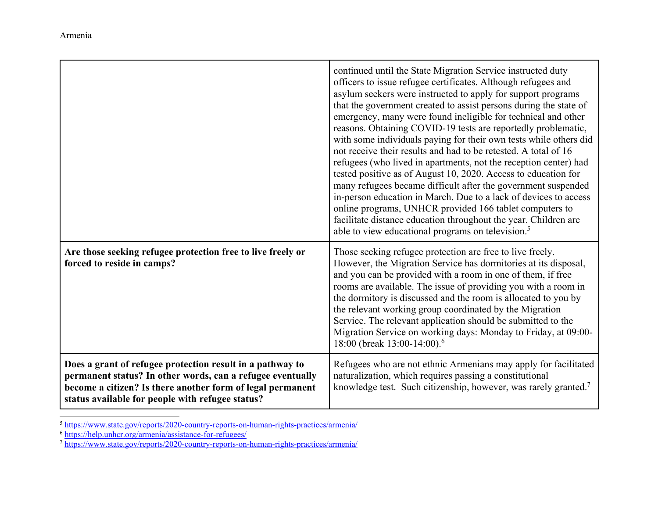|                                                                                                                                                                                                                                           | continued until the State Migration Service instructed duty<br>officers to issue refugee certificates. Although refugees and<br>asylum seekers were instructed to apply for support programs<br>that the government created to assist persons during the state of<br>emergency, many were found ineligible for technical and other<br>reasons. Obtaining COVID-19 tests are reportedly problematic,<br>with some individuals paying for their own tests while others did<br>not receive their results and had to be retested. A total of 16<br>refugees (who lived in apartments, not the reception center) had<br>tested positive as of August 10, 2020. Access to education for<br>many refugees became difficult after the government suspended<br>in-person education in March. Due to a lack of devices to access<br>online programs, UNHCR provided 166 tablet computers to<br>facilitate distance education throughout the year. Children are<br>able to view educational programs on television. <sup>5</sup> |
|-------------------------------------------------------------------------------------------------------------------------------------------------------------------------------------------------------------------------------------------|-----------------------------------------------------------------------------------------------------------------------------------------------------------------------------------------------------------------------------------------------------------------------------------------------------------------------------------------------------------------------------------------------------------------------------------------------------------------------------------------------------------------------------------------------------------------------------------------------------------------------------------------------------------------------------------------------------------------------------------------------------------------------------------------------------------------------------------------------------------------------------------------------------------------------------------------------------------------------------------------------------------------------|
| Are those seeking refugee protection free to live freely or<br>forced to reside in camps?                                                                                                                                                 | Those seeking refugee protection are free to live freely.<br>However, the Migration Service has dormitories at its disposal,<br>and you can be provided with a room in one of them, if free<br>rooms are available. The issue of providing you with a room in<br>the dormitory is discussed and the room is allocated to you by<br>the relevant working group coordinated by the Migration<br>Service. The relevant application should be submitted to the<br>Migration Service on working days: Monday to Friday, at 09:00-<br>18:00 (break 13:00-14:00). <sup>6</sup>                                                                                                                                                                                                                                                                                                                                                                                                                                               |
| Does a grant of refugee protection result in a pathway to<br>permanent status? In other words, can a refugee eventually<br>become a citizen? Is there another form of legal permanent<br>status available for people with refugee status? | Refugees who are not ethnic Armenians may apply for facilitated<br>naturalization, which requires passing a constitutional<br>knowledge test. Such citizenship, however, was rarely granted. <sup>7</sup>                                                                                                                                                                                                                                                                                                                                                                                                                                                                                                                                                                                                                                                                                                                                                                                                             |

<sup>&</sup>lt;sup>5</sup> https://www.state.gov/reports/2020-country-reports-on-human-rights-practices/armenia/

<sup>&</sup>lt;sup>6</sup> https://help.unhcr.org/armenia/assistance-for-refugees/<br><sup>7</sup> https://www.state.gov/reports/2020-country-reports-on-human-rights-practices/armenia/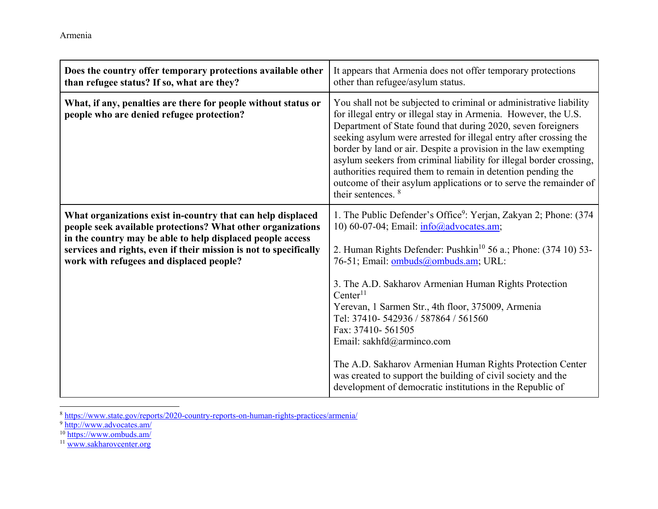| Does the country offer temporary protections available other<br>than refugee status? If so, what are they?                                                                                                                                                                                                | It appears that Armenia does not offer temporary protections<br>other than refugee/asylum status.                                                                                                                                                                                                                                                                                                                                                                                                                                                                                          |
|-----------------------------------------------------------------------------------------------------------------------------------------------------------------------------------------------------------------------------------------------------------------------------------------------------------|--------------------------------------------------------------------------------------------------------------------------------------------------------------------------------------------------------------------------------------------------------------------------------------------------------------------------------------------------------------------------------------------------------------------------------------------------------------------------------------------------------------------------------------------------------------------------------------------|
| What, if any, penalties are there for people without status or<br>people who are denied refugee protection?                                                                                                                                                                                               | You shall not be subjected to criminal or administrative liability<br>for illegal entry or illegal stay in Armenia. However, the U.S.<br>Department of State found that during 2020, seven foreigners<br>seeking asylum were arrested for illegal entry after crossing the<br>border by land or air. Despite a provision in the law exempting<br>asylum seekers from criminal liability for illegal border crossing,<br>authorities required them to remain in detention pending the<br>outcome of their asylum applications or to serve the remainder of<br>their sentences. <sup>8</sup> |
| What organizations exist in-country that can help displaced<br>people seek available protections? What other organizations<br>in the country may be able to help displaced people access<br>services and rights, even if their mission is not to specifically<br>work with refugees and displaced people? | 1. The Public Defender's Office <sup>9</sup> : Yerjan, Zakyan 2; Phone: (374)<br>10) 60-07-04; Email: info@advocates.am;<br>2. Human Rights Defender: Pushkin <sup>10</sup> 56 a.; Phone: (374 10) 53-<br>76-51; Email: ombuds@ombuds.am; URL:<br>3. The A.D. Sakharov Armenian Human Rights Protection<br>Center <sup>11</sup><br>Yerevan, 1 Sarmen Str., 4th floor, 375009, Armenia<br>Tel: 37410-542936 / 587864 / 561560<br>Fax: 37410-561505<br>Email: sakhfd@arminco.com<br>The A.D. Sakharov Armenian Human Rights Protection Center                                                |
|                                                                                                                                                                                                                                                                                                           | was created to support the building of civil society and the<br>development of democratic institutions in the Republic of                                                                                                                                                                                                                                                                                                                                                                                                                                                                  |

<sup>8</sup> https://www.state.gov/reports/2020-country-reports-on-human-rights-practices/armenia/<br>
<sup>9</sup> http://www.advocates.am/<br>
<sup>10</sup> https://www.ombuds.am/<br>
<sup>11</sup> www.sakharovcenter.org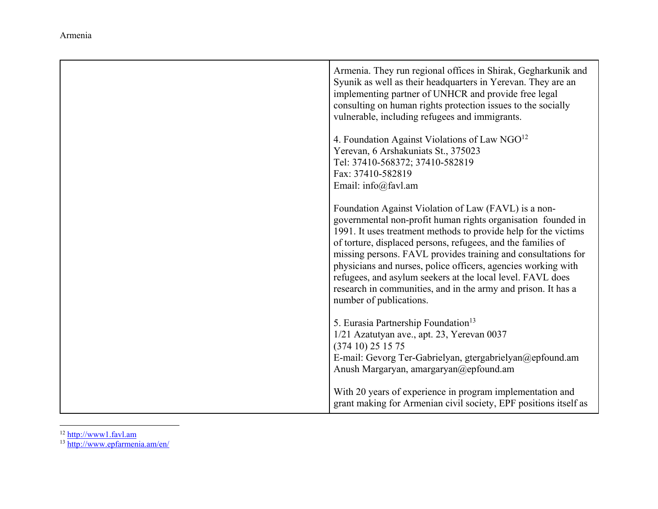| Armenia. They run regional offices in Shirak, Gegharkunik and<br>Syunik as well as their headquarters in Yerevan. They are an<br>implementing partner of UNHCR and provide free legal<br>consulting on human rights protection issues to the socially<br>vulnerable, including refugees and immigrants.<br>4. Foundation Against Violations of Law $NGO12$<br>Yerevan, 6 Arshakuniats St., 375023<br>Tel: 37410-568372; 37410-582819<br>Fax: 37410-582819                                                                                                                  |
|----------------------------------------------------------------------------------------------------------------------------------------------------------------------------------------------------------------------------------------------------------------------------------------------------------------------------------------------------------------------------------------------------------------------------------------------------------------------------------------------------------------------------------------------------------------------------|
| Email: info@favl.am<br>Foundation Against Violation of Law (FAVL) is a non-<br>governmental non-profit human rights organisation founded in<br>1991. It uses treatment methods to provide help for the victims<br>of torture, displaced persons, refugees, and the families of<br>missing persons. FAVL provides training and consultations for<br>physicians and nurses, police officers, agencies working with<br>refugees, and asylum seekers at the local level. FAVL does<br>research in communities, and in the army and prison. It has a<br>number of publications. |
| 5. Eurasia Partnership Foundation <sup>13</sup><br>1/21 Azatutyan ave., apt. 23, Yerevan 0037<br>(37410) 251575<br>E-mail: Gevorg Ter-Gabrielyan, gtergabrielyan@epfound.am<br>Anush Margaryan, amargaryan@epfound.am                                                                                                                                                                                                                                                                                                                                                      |
| With 20 years of experience in program implementation and<br>grant making for Armenian civil society, EPF positions itself as                                                                                                                                                                                                                                                                                                                                                                                                                                              |

<sup>12</sup> http://www1.favl.am<br><sup>13</sup> http://www.epfarmenia.am/en/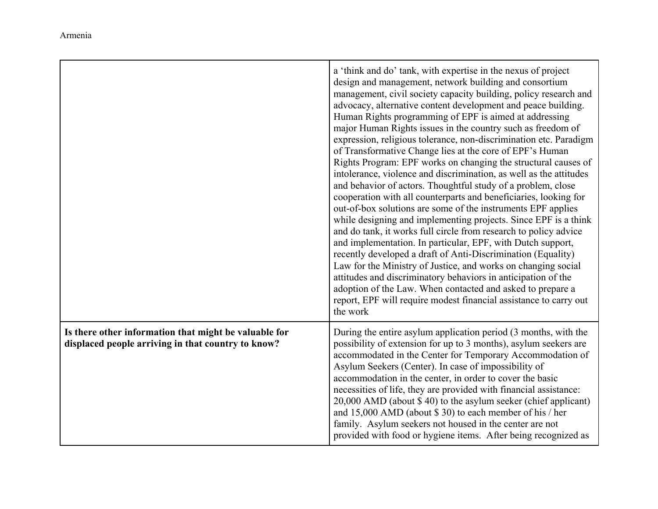|                                                                                                             | a 'think and do' tank, with expertise in the nexus of project<br>design and management, network building and consortium<br>management, civil society capacity building, policy research and<br>advocacy, alternative content development and peace building.<br>Human Rights programming of EPF is aimed at addressing<br>major Human Rights issues in the country such as freedom of<br>expression, religious tolerance, non-discrimination etc. Paradigm<br>of Transformative Change lies at the core of EPF's Human<br>Rights Program: EPF works on changing the structural causes of<br>intolerance, violence and discrimination, as well as the attitudes<br>and behavior of actors. Thoughtful study of a problem, close<br>cooperation with all counterparts and beneficiaries, looking for<br>out-of-box solutions are some of the instruments EPF applies<br>while designing and implementing projects. Since EPF is a think<br>and do tank, it works full circle from research to policy advice<br>and implementation. In particular, EPF, with Dutch support,<br>recently developed a draft of Anti-Discrimination (Equality)<br>Law for the Ministry of Justice, and works on changing social<br>attitudes and discriminatory behaviors in anticipation of the<br>adoption of the Law. When contacted and asked to prepare a<br>report, EPF will require modest financial assistance to carry out<br>the work |
|-------------------------------------------------------------------------------------------------------------|---------------------------------------------------------------------------------------------------------------------------------------------------------------------------------------------------------------------------------------------------------------------------------------------------------------------------------------------------------------------------------------------------------------------------------------------------------------------------------------------------------------------------------------------------------------------------------------------------------------------------------------------------------------------------------------------------------------------------------------------------------------------------------------------------------------------------------------------------------------------------------------------------------------------------------------------------------------------------------------------------------------------------------------------------------------------------------------------------------------------------------------------------------------------------------------------------------------------------------------------------------------------------------------------------------------------------------------------------------------------------------------------------------------------------|
| Is there other information that might be valuable for<br>displaced people arriving in that country to know? | During the entire asylum application period (3 months, with the<br>possibility of extension for up to 3 months), asylum seekers are<br>accommodated in the Center for Temporary Accommodation of<br>Asylum Seekers (Center). In case of impossibility of<br>accommodation in the center, in order to cover the basic<br>necessities of life, they are provided with financial assistance:<br>20,000 AMD (about \$40) to the asylum seeker (chief applicant)<br>and 15,000 AMD (about $$30$ ) to each member of his / her<br>family. Asylum seekers not housed in the center are not<br>provided with food or hygiene items. After being recognized as                                                                                                                                                                                                                                                                                                                                                                                                                                                                                                                                                                                                                                                                                                                                                                     |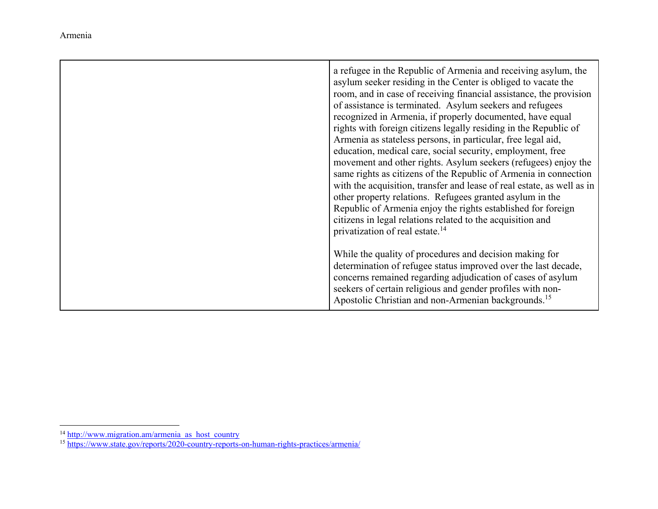| a refugee in the Republic of Armenia and receiving asylum, the<br>asylum seeker residing in the Center is obliged to vacate the<br>room, and in case of receiving financial assistance, the provision<br>of assistance is terminated. Asylum seekers and refugees<br>recognized in Armenia, if properly documented, have equal<br>rights with foreign citizens legally residing in the Republic of<br>Armenia as stateless persons, in particular, free legal aid,<br>education, medical care, social security, employment, free<br>movement and other rights. Asylum seekers (refugees) enjoy the<br>same rights as citizens of the Republic of Armenia in connection<br>with the acquisition, transfer and lease of real estate, as well as in<br>other property relations. Refugees granted asylum in the<br>Republic of Armenia enjoy the rights established for foreign<br>citizens in legal relations related to the acquisition and<br>privatization of real estate. <sup>14</sup> |
|-------------------------------------------------------------------------------------------------------------------------------------------------------------------------------------------------------------------------------------------------------------------------------------------------------------------------------------------------------------------------------------------------------------------------------------------------------------------------------------------------------------------------------------------------------------------------------------------------------------------------------------------------------------------------------------------------------------------------------------------------------------------------------------------------------------------------------------------------------------------------------------------------------------------------------------------------------------------------------------------|
| While the quality of procedures and decision making for<br>determination of refugee status improved over the last decade,<br>concerns remained regarding adjudication of cases of asylum<br>seekers of certain religious and gender profiles with non-<br>Apostolic Christian and non-Armenian backgrounds. <sup>15</sup>                                                                                                                                                                                                                                                                                                                                                                                                                                                                                                                                                                                                                                                                 |

<sup>&</sup>lt;sup>14</sup> http://www.migration.am/armenia\_as\_host\_country<br><sup>15</sup> https://www.state.gov/reports/2020-country-reports-on-human-rights-practices/armenia/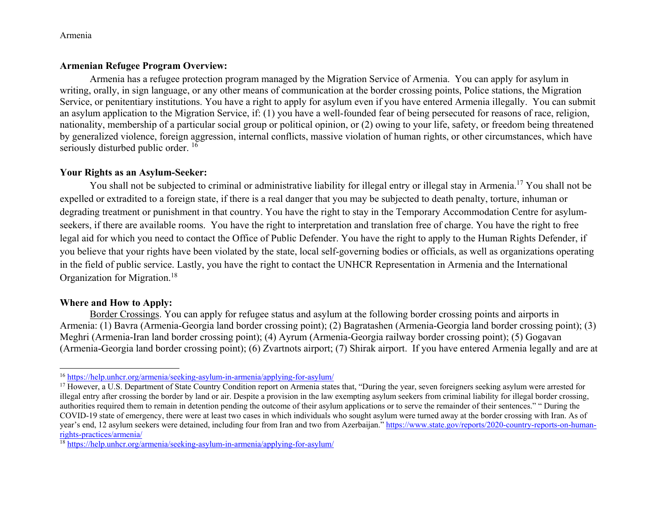# **Armenian Refugee Program Overview:**

Armenia has a refugee protection program managed by the Migration Service of Armenia. You can apply for asylum in writing, orally, in sign language, or any other means of communication at the border crossing points, Police stations, the Migration Service, or penitentiary institutions. You have a right to apply for asylum even if you have entered Armenia illegally. You can submit an asylum application to the Migration Service, if: (1) you have a well-founded fear of being persecuted for reasons of race, religion, nationality, membership of a particular social group or political opinion, or (2) owing to your life, safety, or freedom being threatened by generalized violence, foreign aggression, internal conflicts, massive violation of human rights, or other circumstances, which have seriously disturbed public order.<sup>16</sup>

# **Your Rights as an Asylum-Seeker:**

You shall not be subjected to criminal or administrative liability for illegal entry or illegal stay in Armenia.<sup>17</sup> You shall not be expelled or extradited to a foreign state, if there is a real danger that you may be subjected to death penalty, torture, inhuman or degrading treatment or punishment in that country. You have the right to stay in the Temporary Accommodation Centre for asylumseekers, if there are available rooms. You have the right to interpretation and translation free of charge. You have the right to free legal aid for which you need to contact the Office of Public Defender. You have the right to apply to the Human Rights Defender, if you believe that your rights have been violated by the state, local self-governing bodies or officials, as well as organizations operating in the field of public service. Lastly, you have the right to contact the UNHCR Representation in Armenia and the International Organization for Migration.<sup>18</sup>

### **Where and How to Apply:**

 Border Crossings. You can apply for refugee status and asylum at the following border crossing points and airports in Armenia: (1) Bavra (Armenia-Georgia land border crossing point); (2) Bagratashen (Armenia-Georgia land border crossing point); (3) Meghri (Armenia-Iran land border crossing point); (4) Ayrum (Armenia-Georgia railway border crossing point); (5) Gogavan (Armenia-Georgia land border crossing point); (6) Zvartnots airport; (7) Shirak airport. If you have entered Armenia legally and are at

<sup>&</sup>lt;sup>16</sup> https://help.unhcr.org/armenia/seeking-asylum-in-armenia/applying-for-asylum/

<sup>&</sup>lt;sup>17</sup> However, a U.S. Department of State Country Condition report on Armenia states that, "During the year, seven foreigners seeking asylum were arrested for illegal entry after crossing the border by land or air. Despite a provision in the law exempting asylum seekers from criminal liability for illegal border crossing, authorities required them to remain in detention pending the outcome of their asylum applications or to serve the remainder of their sentences." " During the COVID-19 state of emergency, there were at least two cases in which individuals who sought asylum were turned away at the border crossing with Iran. As of year's end, 12 asylum seekers were detained, including four from Iran and two from Azerbaijan." https://www.state.gov/reports/2020-country-reports-on-humanrights-practices/armenia/

<sup>&</sup>lt;sup>18</sup> https://help.unhcr.org/armenia/seeking-asylum-in-armenia/applying-for-asylum/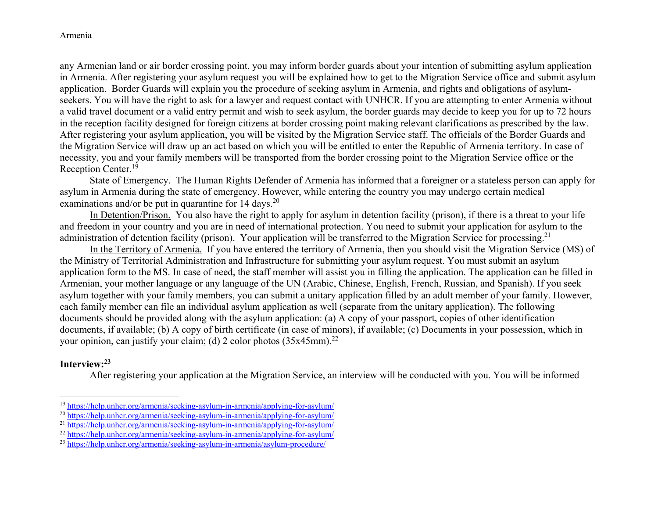any Armenian land or air border crossing point, you may inform border guards about your intention of submitting asylum application in Armenia. After registering your asylum request you will be explained how to get to the Migration Service office and submit asylum application. Border Guards will explain you the procedure of seeking asylum in Armenia, and rights and obligations of asylumseekers. You will have the right to ask for a lawyer and request contact with UNHCR. If you are attempting to enter Armenia without a valid travel document or a valid entry permit and wish to seek asylum, the border guards may decide to keep you for up to 72 hours in the reception facility designed for foreign citizens at border crossing point making relevant clarifications as prescribed by the law. After registering your asylum application, you will be visited by the Migration Service staff. The officials of the Border Guards and the Migration Service will draw up an act based on which you will be entitled to enter the Republic of Armenia territory. In case of necessity, you and your family members will be transported from the border crossing point to the Migration Service office or the Reception Center.<sup>19</sup>

 State of Emergency. The Human Rights Defender of Armenia has informed that a foreigner or a stateless person can apply for asylum in Armenia during the state of emergency. However, while entering the country you may undergo certain medical examinations and/or be put in quarantine for  $14 \text{ days}$ .<sup>20</sup>

 In Detention/Prison. You also have the right to apply for asylum in detention facility (prison), if there is a threat to your life and freedom in your country and you are in need of international protection. You need to submit your application for asylum to the administration of detention facility (prison). Your application will be transferred to the Migration Service for processing.<sup>21</sup>

 In the Territory of Armenia. If you have entered the territory of Armenia, then you should visit the Migration Service (MS) of the Ministry of Territorial Administration and Infrastructure for submitting your asylum request. You must submit an asylum application form to the MS. In case of need, the staff member will assist you in filling the application. The application can be filled in Armenian, your mother language or any language of the UN (Arabic, Chinese, English, French, Russian, and Spanish). If you seek asylum together with your family members, you can submit a unitary application filled by an adult member of your family. However, each family member can file an individual asylum application as well (separate from the unitary application). The following documents should be provided along with the asylum application: (a) A copy of your passport, copies of other identification documents, if available; (b) A copy of birth certificate (in case of minors), if available; (c) Documents in your possession, which in your opinion, can justify your claim; (d) 2 color photos  $(35x45mm)^{22}$ 

# **Interview:<sup>23</sup>**

After registering your application at the Migration Service, an interview will be conducted with you. You will be informed

<sup>&</sup>lt;sup>19</sup> https://help.unhcr.org/armenia/seeking-asylum-in-armenia/applying-for-asylum/

<sup>&</sup>lt;sup>20</sup> https://help.unhcr.org/armenia/seeking-asylum-in-armenia/applying-for-asylum/

<sup>&</sup>lt;sup>21</sup> https://help.unhcr.org/armenia/seeking-asylum-in-armenia/applying-for-asylum/

<sup>&</sup>lt;sup>22</sup> https://help.unhcr.org/armenia/seeking-asylum-in-armenia/applying-for-asylum/

<sup>&</sup>lt;sup>23</sup> https://help.unhcr.org/armenia/seeking-asylum-in-armenia/asylum-procedure/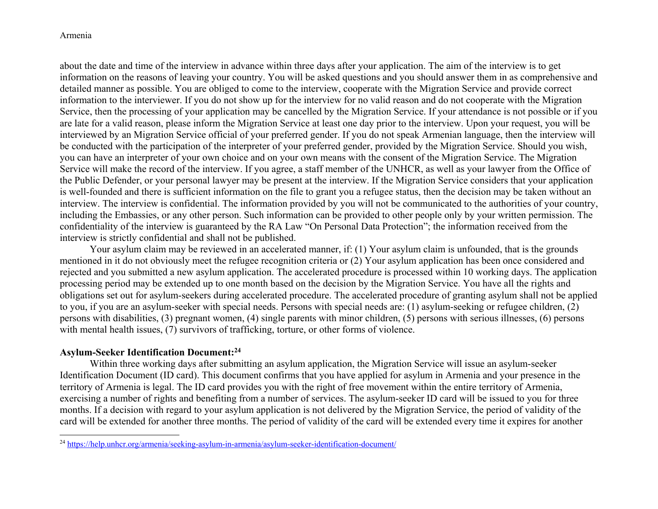about the date and time of the interview in advance within three days after your application. The aim of the interview is to get information on the reasons of leaving your country. You will be asked questions and you should answer them in as comprehensive and detailed manner as possible. You are obliged to come to the interview, cooperate with the Migration Service and provide correct information to the interviewer. If you do not show up for the interview for no valid reason and do not cooperate with the Migration Service, then the processing of your application may be cancelled by the Migration Service. If your attendance is not possible or if you are late for a valid reason, please inform the Migration Service at least one day prior to the interview. Upon your request, you will be interviewed by an Migration Service official of your preferred gender. If you do not speak Armenian language, then the interview will be conducted with the participation of the interpreter of your preferred gender, provided by the Migration Service. Should you wish, you can have an interpreter of your own choice and on your own means with the consent of the Migration Service. The Migration Service will make the record of the interview. If you agree, a staff member of the UNHCR, as well as your lawyer from the Office of the Public Defender, or your personal lawyer may be present at the interview. If the Migration Service considers that your application is well-founded and there is sufficient information on the file to grant you a refugee status, then the decision may be taken without an interview. The interview is confidential. The information provided by you will not be communicated to the authorities of your country, including the Embassies, or any other person. Such information can be provided to other people only by your written permission. The confidentiality of the interview is guaranteed by the RA Law "On Personal Data Protection"; the information received from the interview is strictly confidential and shall not be published.

 Your asylum claim may be reviewed in an accelerated manner, if: (1) Your asylum claim is unfounded, that is the grounds mentioned in it do not obviously meet the refugee recognition criteria or (2) Your asylum application has been once considered and rejected and you submitted a new asylum application. The accelerated procedure is processed within 10 working days. The application processing period may be extended up to one month based on the decision by the Migration Service. You have all the rights and obligations set out for asylum-seekers during accelerated procedure. The accelerated procedure of granting asylum shall not be applied to you, if you are an asylum-seeker with special needs. Persons with special needs are: (1) asylum-seeking or refugee children, (2) persons with disabilities, (3) pregnant women, (4) single parents with minor children, (5) persons with serious illnesses, (6) persons with mental health issues, (7) survivors of trafficking, torture, or other forms of violence.

### **Asylum-Seeker Identification Document:<sup>24</sup>**

Within three working days after submitting an asylum application, the Migration Service will issue an asylum-seeker Identification Document (ID card). This document confirms that you have applied for asylum in Armenia and your presence in the territory of Armenia is legal. The ID card provides you with the right of free movement within the entire territory of Armenia, exercising a number of rights and benefiting from a number of services. The asylum-seeker ID card will be issued to you for three months. If a decision with regard to your asylum application is not delivered by the Migration Service, the period of validity of the card will be extended for another three months. The period of validity of the card will be extended every time it expires for another

<sup>&</sup>lt;sup>24</sup> https://help.unhcr.org/armenia/seeking-asylum-in-armenia/asylum-seeker-identification-document/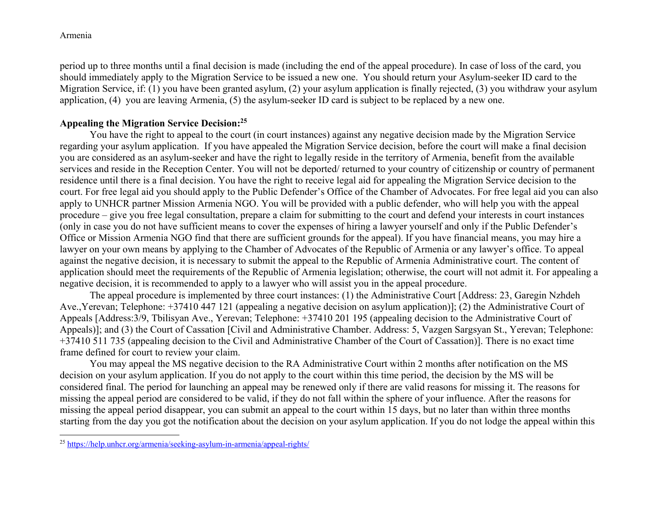period up to three months until a final decision is made (including the end of the appeal procedure). In case of loss of the card, you should immediately apply to the Migration Service to be issued a new one. You should return your Asylum-seeker ID card to the Migration Service, if: (1) you have been granted asylum, (2) your asylum application is finally rejected, (3) you withdraw your asylum application, (4) you are leaving Armenia, (5) the asylum-seeker ID card is subject to be replaced by a new one.

### **Appealing the Migration Service Decision:<sup>25</sup>**

 You have the right to appeal to the court (in court instances) against any negative decision made by the Migration Service regarding your asylum application. If you have appealed the Migration Service decision, before the court will make a final decision you are considered as an asylum-seeker and have the right to legally reside in the territory of Armenia, benefit from the available services and reside in the Reception Center. You will not be deported/ returned to your country of citizenship or country of permanent residence until there is a final decision. You have the right to receive legal aid for appealing the Migration Service decision to the court. For free legal aid you should apply to the Public Defender's Office of the Chamber of Advocates. For free legal aid you can also apply to UNHCR partner Mission Armenia NGO. You will be provided with a public defender, who will help you with the appeal procedure – give you free legal consultation, prepare a claim for submitting to the court and defend your interests in court instances (only in case you do not have sufficient means to cover the expenses of hiring a lawyer yourself and only if the Public Defender's Office or Mission Armenia NGO find that there are sufficient grounds for the appeal). If you have financial means, you may hire a lawyer on your own means by applying to the Chamber of Advocates of the Republic of Armenia or any lawyer's office. To appeal against the negative decision, it is necessary to submit the appeal to the Republic of Armenia Administrative court. The content of application should meet the requirements of the Republic of Armenia legislation; otherwise, the court will not admit it. For appealing a negative decision, it is recommended to apply to a lawyer who will assist you in the appeal procedure.

The appeal procedure is implemented by three court instances: (1) the Administrative Court [Address: 23, Garegin Nzhdeh Ave.,Yerevan; Telephone: +37410 447 121 (appealing a negative decision on asylum application)]; (2) the Administrative Court of Appeals [Address:3/9, Tbilisyan Ave., Yerevan; Telephone: +37410 201 195 (appealing decision to the Administrative Court of Appeals)]; and (3) the Court of Cassation [Civil and Administrative Chamber. Address: 5, Vazgen Sargsyan St., Yerevan; Telephone: +37410 511 735 (appealing decision to the Civil and Administrative Chamber of the Court of Cassation)]. There is no exact time frame defined for court to review your claim.

You may appeal the MS negative decision to the RA Administrative Court within 2 months after notification on the MS decision on your asylum application. If you do not apply to the court within this time period, the decision by the MS will be considered final. The period for launching an appeal may be renewed only if there are valid reasons for missing it. The reasons for missing the appeal period are considered to be valid, if they do not fall within the sphere of your influence. After the reasons for missing the appeal period disappear, you can submit an appeal to the court within 15 days, but no later than within three months starting from the day you got the notification about the decision on your asylum application. If you do not lodge the appeal within this

<sup>&</sup>lt;sup>25</sup> https://help.unhcr.org/armenia/seeking-asylum-in-armenia/appeal-rights/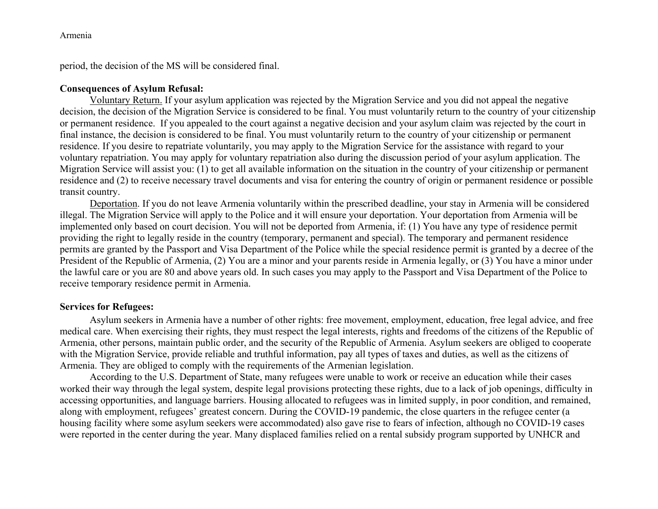period, the decision of the MS will be considered final.

# **Consequences of Asylum Refusal:**

Voluntary Return. If your asylum application was rejected by the Migration Service and you did not appeal the negative decision, the decision of the Migration Service is considered to be final. You must voluntarily return to the country of your citizenship or permanent residence. If you appealed to the court against a negative decision and your asylum claim was rejected by the court in final instance, the decision is considered to be final. You must voluntarily return to the country of your citizenship or permanent residence. If you desire to repatriate voluntarily, you may apply to the Migration Service for the assistance with regard to your voluntary repatriation. You may apply for voluntary repatriation also during the discussion period of your asylum application. The Migration Service will assist you: (1) to get all available information on the situation in the country of your citizenship or permanent residence and (2) to receive necessary travel documents and visa for entering the country of origin or permanent residence or possible transit country.

Deportation. If you do not leave Armenia voluntarily within the prescribed deadline, your stay in Armenia will be considered illegal. The Migration Service will apply to the Police and it will ensure your deportation. Your deportation from Armenia will be implemented only based on court decision. You will not be deported from Armenia, if: (1) You have any type of residence permit providing the right to legally reside in the country (temporary, permanent and special). The temporary and permanent residence permits are granted by the Passport and Visa Department of the Police while the special residence permit is granted by a decree of the President of the Republic of Armenia, (2) You are a minor and your parents reside in Armenia legally, or (3) You have a minor under the lawful care or you are 80 and above years old. In such cases you may apply to the Passport and Visa Department of the Police to receive temporary residence permit in Armenia.

# **Services for Refugees:**

Asylum seekers in Armenia have a number of other rights: free movement, employment, education, free legal advice, and free medical care. When exercising their rights, they must respect the legal interests, rights and freedoms of the citizens of the Republic of Armenia, other persons, maintain public order, and the security of the Republic of Armenia. Asylum seekers are obliged to cooperate with the Migration Service, provide reliable and truthful information, pay all types of taxes and duties, as well as the citizens of Armenia. They are obliged to comply with the requirements of the Armenian legislation.

According to the U.S. Department of State, many refugees were unable to work or receive an education while their cases worked their way through the legal system, despite legal provisions protecting these rights, due to a lack of job openings, difficulty in accessing opportunities, and language barriers. Housing allocated to refugees was in limited supply, in poor condition, and remained, along with employment, refugees' greatest concern. During the COVID-19 pandemic, the close quarters in the refugee center (a housing facility where some asylum seekers were accommodated) also gave rise to fears of infection, although no COVID-19 cases were reported in the center during the year. Many displaced families relied on a rental subsidy program supported by UNHCR and